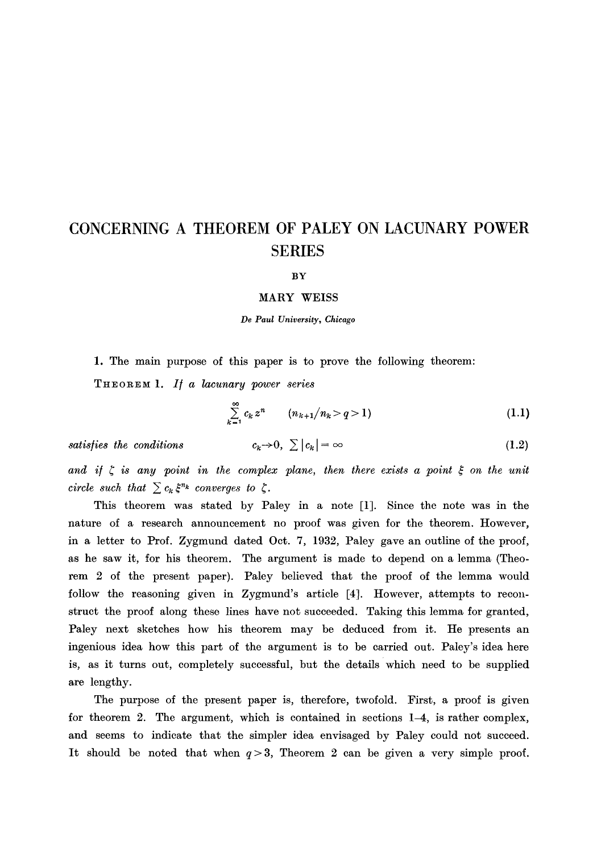# **CONCERNING A THEOREM OF PALEY ON LACUNARY POWER SERIES**

#### **BY**

### **MARY** WEISS

*De Paul University, Chicago* 

1. The main purpose of this paper is to prove the following theorem:

**THEOREM** *1. I[ a lacunary power series* 

$$
\sum_{k=1}^{\infty} c_k z^n \qquad (n_{k+1}/n_k > q > 1)
$$
 (1.1)

 $satisfies the conditions$ 

$$
c_k \to 0, \sum |c_k| = \infty \tag{1.2}
$$

and if  $\zeta$  is any point in the complex plane, then there exists a point  $\xi$  on the unit *circle such that*  $\sum c_k \xi^{n_k}$  *converges to*  $\zeta$ *.* 

This theorem was stated by Paley in a note [1]. Since the note was in the nature of a research announcement no proof was given for the theorem. However, in a letter to Prof. Zygmund dated Oct. 7, 1932, Paley gave an outline of the proof, as he saw it, for his theorem. The argument is made to depend on a lemma (Theorem 2 of the present paper). Paley believed that the proof of the lemma would follow the reasoning given in Zygmund's article [4]. However, attempts to reconstruct the proof along these lines have not succeeded. Taking this lemma for granted, Paley next sketches how his theorem may be deduced from it. He presents an ingenious idea how this part of the argument is to be carried out. Paley's idea here is, as it turns out, completely successful, but the details which need to be supplied are lengthy.

The purpose of the present paper is, therefore, twofold. First, a proof is given for theorem 2. The argument, which is contained in sections 14, is rather complex, and seems to indicate that the simpler idea envisaged by Paley could not succeed. It should be noted that when  $q > 3$ , Theorem 2 can be given a very simple proof.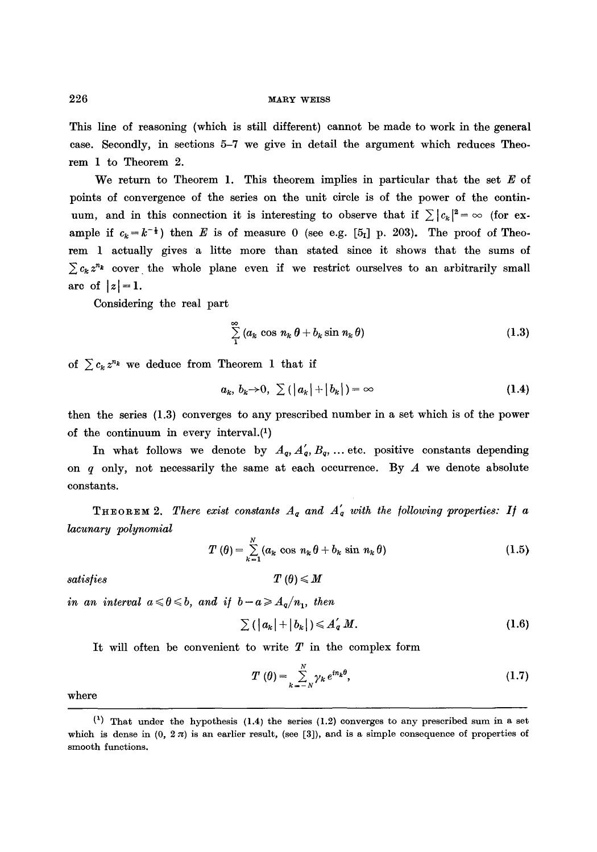This line of reasoning (which is still different) cannot be made to work in the general case. Secondly, in sections 5-7 we give in detail the argument which reduces Theorem 1 to Theorem 2.

We return to Theorem 1. This theorem implies in particular that the set  $E$  of points of convergence of the series on the unit circle is of the power of the continuum, and in this connection it is interesting to observe that if  $\sum |c_k|^2 = \infty$  (for example if  $c_k = k^{-\frac{1}{2}}$  then E is of measure 0 (see e.g. [5<sub>1</sub>] p. 203). The proof of Theorem 1 actually gives a litte more than stated since it shows that the sums of  $\sum c_k z^n$  cover the whole plane even if we restrict ourselves to an arbitrarily small are of  $|z|=1$ .

Considering the real part

$$
\sum_{1}^{\infty} (a_k \cos n_k \theta + b_k \sin n_k \theta) \tag{1.3}
$$

of  $\sum c_k z^{n_k}$  we deduce from Theorem 1 that if

$$
a_k, b_k \to 0, \sum \left( \left| a_k \right| + \left| b_k \right| \right) = \infty \tag{1.4}
$$

then the series (1.3) converges to any prescribed number in a set which is of the power of the continuum in every interval.(1)

In what follows we denote by  $A_q$ ,  $A'_q$ ,  $B_q$ , ... etc. positive constants depending on  $q$  only, not necessarily the same at each occurrence. By  $A$  we denote absolute constants.

**THEOREM 2.** There exist constants  $A_q$  and  $A'_q$  with the following properties: If a *lacunary polynomial* 

$$
T(\theta) = \sum_{k=1}^{N} (a_k \cos n_k \theta + b_k \sin n_k \theta)
$$
 (1.5)

*satisfies*  $T(\theta) \leqslant M$ 

*in an interval*  $a \le \theta \le b$ , and if  $b - a \ge A_q/n_1$ , then

$$
\sum (|a_k|+|b_k|) \leqslant A'_q M. \tag{1.6}
$$

It will often be convenient to write  $T$  in the complex form

$$
T(\theta) = \sum_{k=-N}^{N} \gamma_k e^{in_k \theta}, \qquad (1.7)
$$

where

 $(1)$  That under the hypothesis (1.4) the series (1.2) converges to any prescribed sum in a set which is dense in  $(0, 2\pi)$  is an earlier result, (see [3]), and is a simple consequence of properties of smooth functions.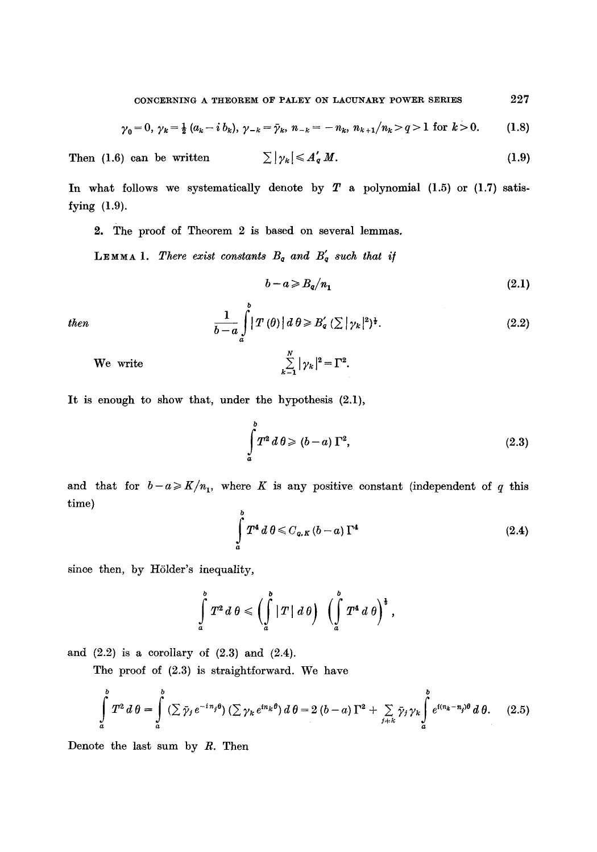$$
\gamma_0 = 0, \ \gamma_k = \frac{1}{2} \ (a_k - i \ b_k), \ \gamma_{-k} = \bar{\gamma}_k, \ n_{-k} = -n_k, \ n_{k+1}/n_k > q > 1 \ \text{ for } k > 0. \tag{1.8}
$$

Then (1.6) can be written 
$$
\sum |\gamma_k| \leq A'_q M.
$$
 (1.9)

In what follows we systematically denote by  $T$  a polynomial (1.5) or (1.7) satisfying (1.9).

2. The proof of Theorem 2 is based on several lemmas.

LEMMA 1. There exist constants  $B_q$  and  $B'_q$  such that if

$$
b - a \geq B_q / n_1 \tag{2.1}
$$

then 
$$
\frac{1}{b-a} \int_{a}^{b} |T(\theta)| d\theta \ge B'_\mathbf{q} \left(\sum |\gamma_k|^2\right)^{\frac{1}{2}}.
$$
 (2.2)

We write 
$$
\sum_{k=1}^N |\gamma_k|^2 = \Gamma^2.
$$

It is enough to show that, under the hypothesis (2.1),

$$
\int_{a}^{b} T^2 d\theta \geqslant (b-a)\,\Gamma^2,\tag{2.3}
$$

and that for  $b-a \geqslant K/n_1$ , where K is any positive constant (independent of q this time)

$$
\int_{a}^{b} T^{4} d\theta \leqslant C_{q,K} (b-a) \Gamma^{4}
$$
\n(2.4)

since then, by Hölder's inequality,

$$
\int_a^b T^2 d\theta \leqslant \Biggl(\int_a^b |T| d\theta\Biggr) \left(\int_a^b T^4 d\theta\Biggr)^{\frac{1}{3}},
$$

and  $(2.2)$  is a corollary of  $(2.3)$  and  $(2.4)$ .

The proof of (2.3) is straightforward. We have

$$
\int_a^b T^2 d\theta = \int_a^b (\sum \bar{\gamma}_j e^{-i\eta_j \theta}) (\sum \gamma_k e^{i n_k \theta}) d\theta = 2 (b-a) \Gamma^2 + \sum_{j+k} \bar{\gamma}_j \gamma_k \int_a^b e^{i (n_k - n_j) \theta} d\theta.
$$
 (2.5)

Denote the last sum by  $R$ . Then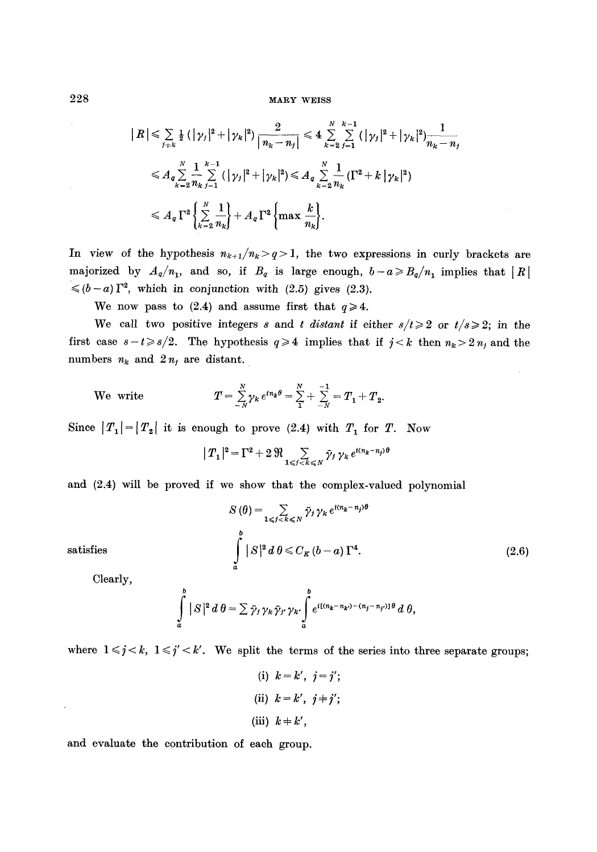# 228 MARY WEISS

$$
\begin{split} \mid R \mid &\leq \sum_{j+k} \frac{1}{2} \left( |\gamma_j|^2 + |\gamma_k|^2 \right) \frac{2}{\left| n_k - n_j \right|} \leq 4 \sum_{k=2}^N \sum_{j=1}^{k-1} \left( |\gamma_j|^2 + |\gamma_k|^2 \right) \frac{1}{n_k - n_j} \\ &\leq A_q \sum_{k=2}^N \frac{1}{n_k} \sum_{j=1}^{k-1} \left( |\gamma_j|^2 + |\gamma_k|^2 \right) \leq A_q \sum_{k=2}^N \frac{1}{n_k} \left( \Gamma^2 + k \left| \gamma_k \right|^2 \right) \\ &\leq A_q \Gamma^2 \left\{ \sum_{k=2}^N \frac{1}{n_k} \right\} + A_q \Gamma^2 \left\{ \max \frac{k}{n_k} \right\}. \end{split}
$$

In view of the hypothesis  $n_{k+1}/n_k > q > 1$ , the two expressions in curly brackets are majorized by  $A_q/n_1$ , and so, if  $B_q$  is large enough,  $b-a \ge B_q/n_1$  implies that  $|R|$  $\leq (b-a)\,\Gamma^2$ , which in conjunction with (2.5) gives (2.3).

We now pass to (2.4) and assume first that  $q \ge 4$ .

We call two positive integers *s* and *t distant* if either  $s/t \geq 2$  or  $t/s \geq 2$ ; in the first case  $s - t \geq s/2$ . The hypothesis  $q \geq 4$  implies that if  $j < k$  then  $n_k > 2 n_j$  and the numbers  $n_k$  and  $2n_j$  are distant.

We write 
$$
T = \sum_{N}^{N} \gamma_k e^{in_k \theta} = \sum_{1}^{N} + \sum_{N}^{-1} = T_1 + T_2.
$$

Since  $|T_1| = |T_2|$  it is enough to prove (2.4) with  $T_1$  for T. Now

$$
|T_1|^2 = \Gamma^2 + 2 \mathfrak{R} \sum_{1 \leq j < k \leq N} \bar{\gamma}_j \gamma_k e^{i(n_k - n_j)\theta}
$$

and (2.4) will be proved if we show that the complex-valued polynomial

satisfies  

$$
S(\theta) = \sum_{1 \leqslant j \leqslant k \leqslant N} \bar{\gamma}_j \gamma_k e^{i(n_k - n_j)\theta}
$$
  

$$
\int_a^b |S|^2 d\theta \leqslant C_K (b - a) \Gamma^4.
$$
 (2.6)

Clearly,

$$
\int_a^b |S|^2 d\theta = \sum \bar{\gamma}_j \gamma_k \bar{\gamma}_j \gamma_{k'} \int_a^b e^{i[(n_k - n_{k'}) - (n_j - n_{j'})]\theta} d\theta,
$$

where  $1 \le j \le k$ ,  $1 \le j' \le k'$ . We split the terms of the series into three separate groups;

(i)  $k=k', j=j'$ ; (ii)  $k=k', j\neq j'$ ; (iii)  $k + k'$ ,

and evaluate the contribution of each group.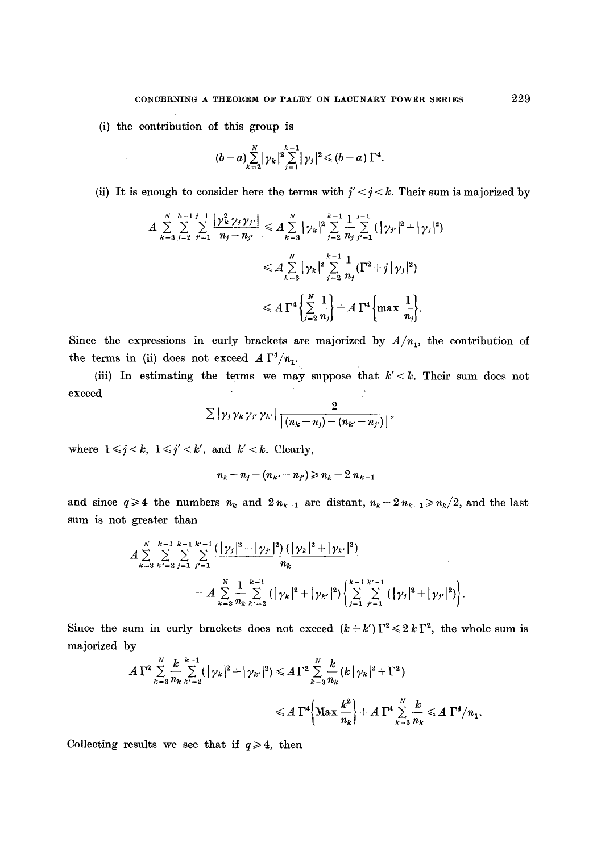(i) the contribution of this group is

$$
(b-a)\sum_{k=2}^N |\gamma_k|^2 \sum_{j=1}^{k-1} |\gamma_j|^2 \leq (b-a)\Gamma^4.
$$

(ii) It is enough to consider here the terms with  $j' < j < k$ . Their sum is majorized by

$$
A \sum_{k=3}^{N} \sum_{j=2}^{k-1} \sum_{j'=1}^{j-1} \frac{|\gamma_{k}^{2} \gamma_{j} \gamma_{j'}|}{n_{j}-n_{j'}} \leq A \sum_{k=3}^{N} |\gamma_{k}|^{2} \sum_{j=2}^{k-1} \frac{1}{n_{j}} \sum_{j'=1}^{j-1} (|\gamma_{j'}|^{2} + |\gamma_{j}|^{2})
$$
  

$$
\leq A \sum_{k=3}^{N} |\gamma_{k}|^{2} \sum_{j=2}^{k-1} \frac{1}{n_{j}} (\Gamma^{2} + j |\gamma_{j}|^{2})
$$
  

$$
\leq A \Gamma^{4} \left\{ \sum_{j=2}^{N} \frac{1}{n_{j}} \right\} + A \Gamma^{4} \left\{ \max \frac{1}{n_{j}} \right\}.
$$

Since the expressions in curly brackets are majorized by  $A/n_1$ , the contribution of the terms in (ii) does not exceed  $A \Gamma^4/n_1$ .

(iii) In estimating the terms we may suppose that  $k' < k$ . Their sum does not  $\boldsymbol{\epsilon}$  are exceed  $\boldsymbol{\epsilon}$  and  $\boldsymbol{\epsilon}$  are exceed  $\boldsymbol{\epsilon}$  and  $\boldsymbol{\epsilon}$  are exceed

$$
\sum |\gamma_j \gamma_k \gamma_{j'} \gamma_{k'}| \frac{2}{|(n_k-n_j)-(n_{k'}-n_{j'})|},
$$

where  $1 \leq j \leq k$ ,  $1 \leq j' \leq k'$ , and  $k' \leq k$ . Clearly,

$$
n_k - n_j - (n_k - n_{j'}) \geq n_k - 2 n_{k-1}
$$

and since  $q\geq 4$  the numbers  $n_k$  and  $2n_{k-1}$  are distant,  $n_k-2n_{k-1}\geq n_k/2$ , and the last sum is not greater than

$$
A \sum_{k=3}^{N} \sum_{k'=2}^{k-1} \sum_{j=1}^{k-1} \sum_{j'=1}^{k'-1} \frac{(|\gamma_j|^2 + |\gamma_{j'}|^2) (|\gamma_k|^2 + |\gamma_{k'}|^2)}{n_k}
$$
  
= 
$$
A \sum_{k=3}^{N} \frac{1}{n_k} \sum_{k'=2}^{k-1} (|\gamma_k|^2 + |\gamma_{k'}|^2) \left\{ \sum_{j=1}^{k-1} \sum_{j'=1}^{k'-1} (|\gamma_j|^2 + |\gamma_{j'}|^2) \right\}.
$$

Since the sum in curly brackets does not exceed  $(k + k')\Gamma^2 \leq 2 k \Gamma^2$ , the whole sum is majorized by

$$
A \Gamma^2 \sum_{k=3}^N \frac{k}{n_k} \sum_{k'=2}^{k-1} (|\gamma_k|^2 + |\gamma_{k'}|^2) \leq A \Gamma^2 \sum_{k=3}^N \frac{k}{n_k} (k |\gamma_k|^2 + \Gamma^2)
$$
  

$$
\leq A \Gamma^4 \Biggl\{ \text{Max} \frac{k^2}{n_k} \Biggr\} + A \Gamma^4 \sum_{k=3}^N \frac{k}{n_k} \leq A \Gamma^4 / n_1.
$$

Collecting results we see that if  $q \ge 4$ , then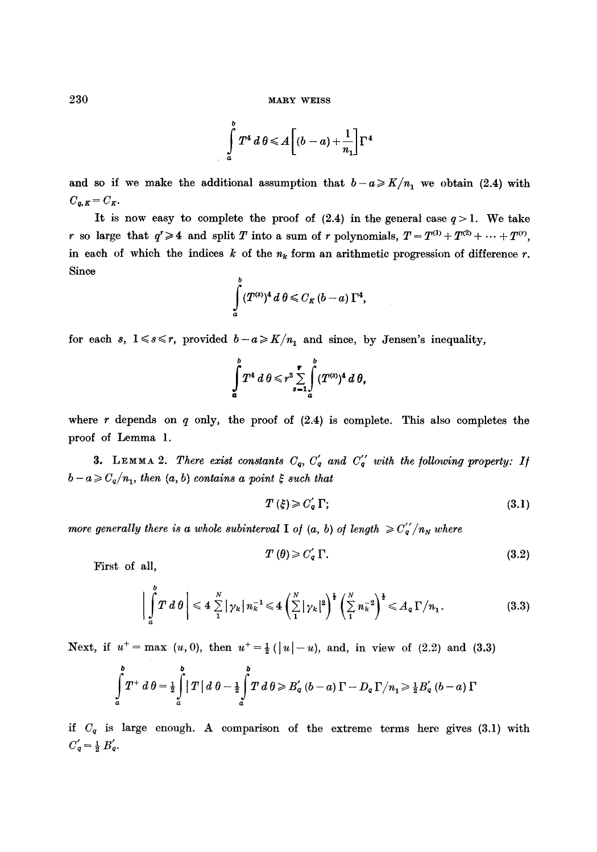230 MARY WEISS

$$
\int\limits_a^b T^4\ d\,\theta\!\leqslant\! A\bigg[(b-a)\!+\!\frac{1}{n_1}\bigg]\Gamma^4
$$

and so if we make the additional assumption that  $b-a \geqslant K/n_1$  we obtain (2.4) with  $C_{q,K} = C_K.$ 

It is now easy to complete the proof of  $(2.4)$  in the general case  $q > 1$ . We take r so large that  $q^r \ge 4$  and split T into a sum of r polynomials,  $T = T^{(1)} + T^{(2)} + \cdots + T^{(r)}$ , in each of which the indices k of the  $n_k$  form an arithmetic progression of difference r. Since

$$
\int_a^b (T^{(s)})^4\,d\,\theta \leqslant C_K\,(b-a)\,\Gamma^4,
$$

for each s,  $1 \le s \le r$ , provided  $b-a \ge K/n_1$  and since, by Jensen's inequality,

$$
\int\limits_a^b T^4\ d\ \theta \leqslant r^3 \sum\limits_{s=1}^r \int\limits_a^b (T^{(s)})^4\ d\ \theta,
$$

where r depends on  $q$  only, the proof of  $(2.4)$  is complete. This also completes the proof of Lemma 1.

**3.** LEMMA 2. *There exist constants*  $C_q$ ,  $C'_q$  and  $C''_q$  with the following property: If  $b - a \geqslant C_q/n_1$ , then  $(a, b)$  contains a point  $\xi$  such that

$$
T(\xi) \geqslant C_q' \, \Gamma; \tag{3.1}
$$

*more generally there is a whole subinterval* I of  $(a, b)$  of length  $\geq C_q' / n_N$  where

$$
T(\theta) \geqslant C'_q \Gamma. \tag{3.2}
$$

First of all,

$$
\bigg|\int\limits_a^b T\,d\,\theta\bigg|\leqslant 4\sum\limits_1^N\big|\gamma_k\big|\,n_k^{-1}\leqslant 4\left(\sum\limits_1^N\big|\gamma_k\big|^2\right)^{\frac{1}{2}}\left(\sum\limits_1^N n_k^{-2}\right)^{\frac{1}{2}}\leqslant A_q\,\Gamma/n_1.\tag{3.3}
$$

Next, if  $u^+ = \max(u, 0)$ , then  $u^+ = \frac{1}{2}(|u| - u)$ , and, in view of (2.2) and (3.3)

$$
\int_a^b T^+ d\theta = \frac{1}{2} \int_a^b \left| T \right| d\theta - \frac{1}{2} \int_a^b T d\theta \geqslant B_q' \left( b - a \right) \Gamma - D_q \Gamma / n_1 \geqslant \frac{1}{2} B_q' \left( b - a \right) \Gamma
$$

if  $C_q$  is large enough. A comparison of the extreme terms here gives  $(3.1)$  with  $C_q' = \frac{1}{2} B_q'$ .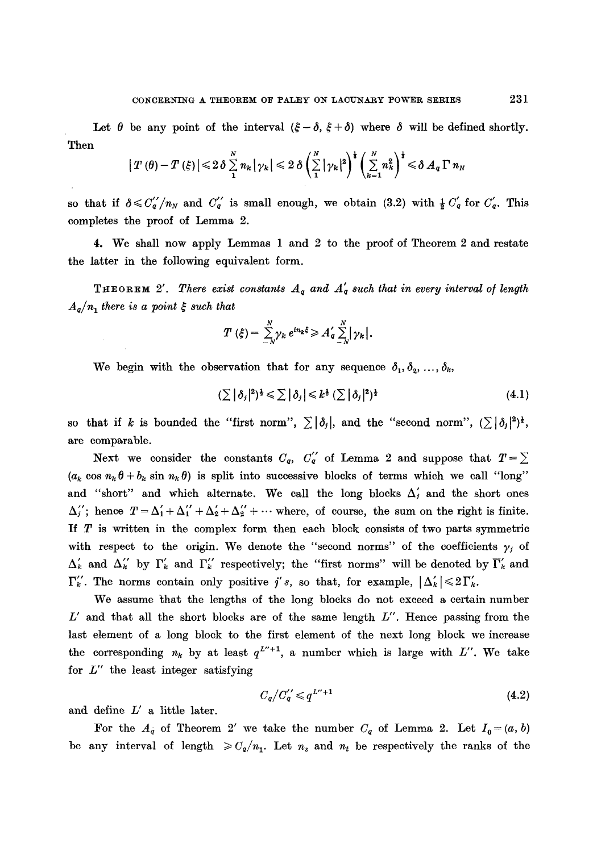Let  $\theta$  be any point of the interval  $(\xi - \delta, \xi + \delta)$  where  $\delta$  will be defined shortly. Then

$$
|T(\theta)-T(\xi)| \leq 2\delta \sum_{1}^{N} n_k |\gamma_k| \leq 2\delta \left(\sum_{1}^{N} |\gamma_k|^2\right)^{\frac{1}{2}} \left(\sum_{k=1}^{N} n_k^2\right)^{\frac{1}{2}} \leq \delta A_q \Gamma n_N
$$

so that if  $\delta \leq C_q''/n_N$  and  $C_q''$  is small enough, we obtain (3.2) with  $\frac{1}{2} C_q'$  for  $C_q'$ . This completes the proof of Lemma 2.

4. We shall now apply Lemmas 1 and 2 to the proof of Theorem 2 and restate the latter in the following equivalent form.

**THEOREM** 2'. There exist constants  $A_q$  and  $A'_q$  such that in every interval of length  $A_q/n_1$  there is a point  $\xi$  such that

$$
T(\xi) = \sum_{-N}^{N} \gamma_k e^{in_k \xi} \geq A_{q}^{\prime} \sum_{-N}^{N} |\gamma_k|.
$$

We begin with the observation that for any sequence  $\delta_1, \delta_2, ..., \delta_k$ ,

$$
(\sum |\delta_j|^2)^{\frac{1}{2}} \leq \sum |\delta_j| \leq k^{\frac{1}{2}} (\sum |\delta_j|^2)^{\frac{1}{2}} \tag{4.1}
$$

so that if k is bounded the "first norm",  $\sum |\delta_j|$ , and the "second norm",  $(\sum |\delta_j|^2)^{\frac{1}{2}},$ are comparable.

Next we consider the constants  $C_q$ ,  $C'_q$  of Lemma 2 and suppose that  $T = \sum$  $(a_k \cos n_k \theta + b_k \sin n_k \theta)$  is split into successive blocks of terms which we call "long" and "short" and which alternate. We call the long blocks  $\Delta'_{i}$  and the short ones  $\Delta_i$ ; hence  $T = \Delta_1' + \Delta_1'' + \Delta_2' + \Delta_2'' + \cdots$  where, of course, the sum on the right is finite. If T is written in the complex form then each block consists of two parts symmetric with respect to the origin. We denote the "second norms" of the coefficients  $y_j$  of  $\Delta'_k$  and  $\Delta''_k$  by  $\Gamma'_k$  and  $\Gamma''_k$  respectively; the "first norms" will be denoted by  $\overline{\Gamma}'_k$  and  $\overline{\Gamma}''_k$ . The norms contain only positive j's, so that, for example,  $|\Delta'_k| \leq 2\overline{\Gamma}'_k$ .

We assume that the lengths of the long blocks do not exceed a certain number  $L'$  and that all the short blocks are of the same length  $L''$ . Hence passing from the last element of a long block to the first element of the next long block we increase the corresponding  $n_k$  by at least  $q^{L^{\prime\prime}+1}$ , a number which is large with L''. We take for  $L''$  the least integer satisfying

$$
C_q/C_q'' \leqslant q^{L''+1} \tag{4.2}
$$

and define  $L'$  a little later.

For the  $A_q$  of Theorem 2' we take the number  $C_q$  of Lemma 2. Let  $I_0=(a, b)$ be any interval of length  $\geq C_q/n_1$ . Let  $n_s$  and  $n_t$  be respectively the ranks of the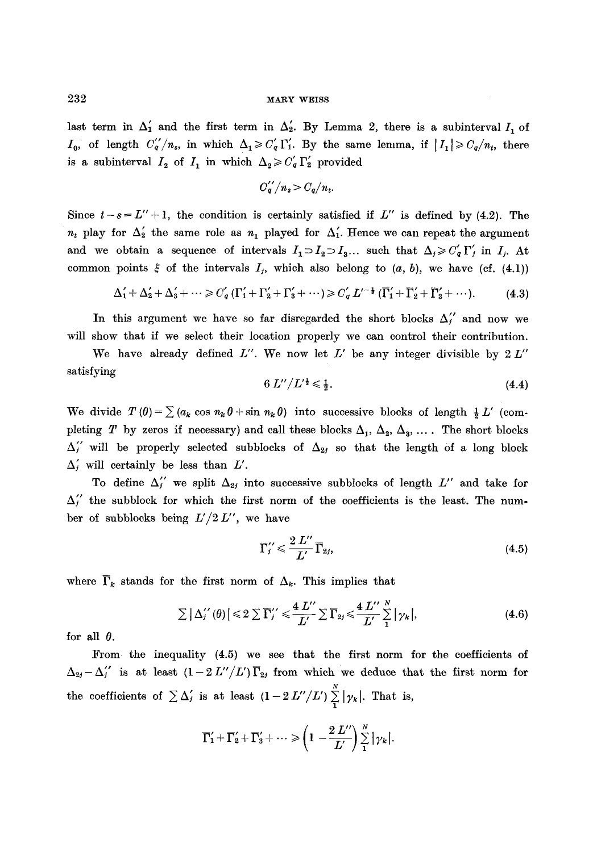# $232$  MARY WEISS

last term in  $\Delta'_1$  and the first term in  $\Delta'_2$ . By Lemma 2, there is a subinterval  $I_1$  of  $I_0$ , of length  $C_q''/n_s$ , in which  $\Delta_1 \geqslant C_q' \Gamma_1'$ . By the same lemma, if  $|I_1| \geqslant C_q/n_t$ , there is a subinterval  $I_2$  of  $I_1$  in which  $\Delta_2 \geqslant C_q' \Gamma_2'$  provided

$$
C_q^{\prime\prime}/n_s>C_q/n_t.
$$

Since  $t-s=L''+1$ , the condition is certainly satisfied if  $L''$  is defined by (4.2). The  $n_t$  play for  $\Delta'_2$  the same role as  $n_1$  played for  $\Delta'_1$ . Hence we can repeat the argument and we obtain a sequence of intervals  $I_1 \supset I_2 \supset I_3...$  such that  $\Delta_i \geq C'_q \Gamma'_j$  in  $I_j$ . At common points  $\xi$  of the intervals  $I_i$ , which also belong to  $(a, b)$ , we have (cf. (4.1))

$$
\Delta'_1 + \Delta'_2 + \Delta'_3 + \cdots \geq C'_q \left( \Gamma'_1 + \Gamma'_2 + \Gamma'_3 + \cdots \right) \geq C'_q L'^{-\frac{1}{2}} \left( \Gamma'_1 + \Gamma'_2 + \Gamma'_3 + \cdots \right). \tag{4.3}
$$

In this argument we have so far disregarded the short blocks  $\Delta_i''$  and now we will show that if we select their location properly we can control their contribution.

We have already defined  $L''$ . We now let  $L'$  be any integer divisible by  $2 L''$ satisfying

$$
6 L''/L'^{\frac{1}{2}} \leq \frac{1}{2}.
$$
\n(4.4)

We divide  $T(\theta) = \sum_{k=0}^{\infty} (a_k \cos n_k \theta + \sin n_k \theta)$  into successive blocks of length  $\frac{1}{2} L'$  (completing T by zeros if necessary) and call these blocks  $\Delta_1$ ,  $\Delta_2$ ,  $\Delta_3$ , .... The short blocks  $\Delta_i$  will be properly selected subblocks of  $\Delta_{2i}$  so that the length of a long block  $\Delta'$ <sub>i</sub> will certainly be less than  $L'$ .

To define  $\Delta''_j$  we split  $\Delta_{2j}$  into successive subblocks of length L'' and take for  $\Delta_{i}^{\prime\prime}$  the subblock for which the first norm of the coefficients is the least. The number of subblocks being *L'/2L",* we have

$$
\Gamma_{j}^{\prime\prime} \leqslant \frac{2 L^{\prime\prime}}{L^{\prime}} \overline{\Gamma}_{2j},\tag{4.5}
$$

where  $\overline{\Gamma}_k$  stands for the first norm of  $\Delta_k$ . This implies that

$$
\sum |\Delta_j''(\theta)| \leq 2 \sum \Gamma_j'' \leq \frac{4 L''}{L'} \sum \Gamma_{2j} \leq \frac{4 L''}{L'} \frac{N}{1} |\gamma_k|,
$$
\n(4.6)

for all  $\theta$ .

From the inequality (4.5) we see that the first norm for the coefficients of  $\Delta_{2j}-\Delta_{j}^{\'{\prime}}$  is at least  $(1-2 L''/L')\Gamma_{2j}$  from which we deduce that the first norm for  $\boldsymbol{N}$ the coefficients of  $\sum \Delta_i$  is at least  $(1-2L''/L')\sum |\gamma_k|$ . That is,

$$
\overline{\Gamma}'_1+\overline{\Gamma}'_2+\overline{\Gamma}'_3+\cdots \geqslant \left(1-\frac{2 L^{\prime\prime}}{L^\prime}\right)\sum\limits_{1}^{N}\big|\gamma_k\big|.
$$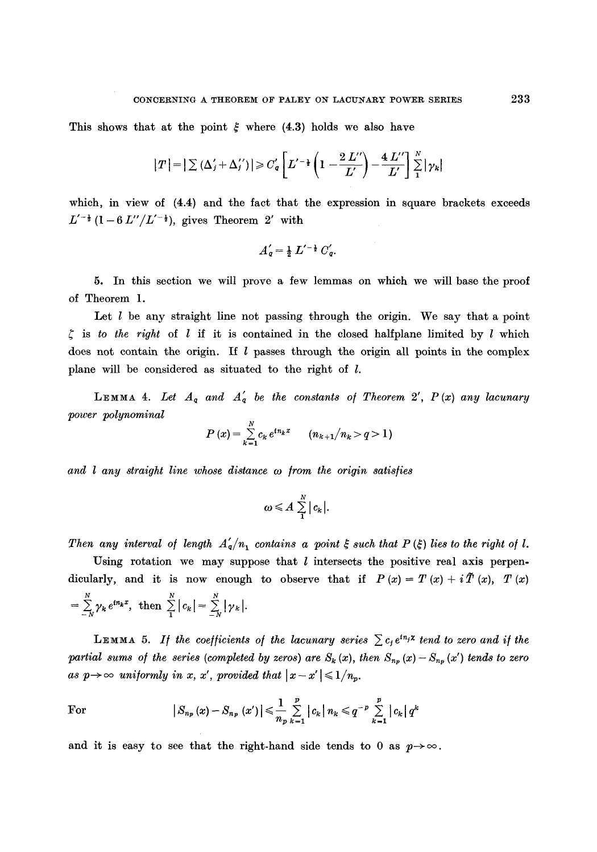This shows that at the point  $\xi$  where (4.3) holds we also have

$$
|T| = |\sum (\Delta'_j + \Delta''_j)| \geq C'_q \left[ L'^{-\frac{1}{2}} \left( 1 - \frac{2 L''}{L'} \right) - \frac{4 L''}{L'} \right] \sum_{1}^{N} |\gamma_k|
$$

which, in view of  $(4.4)$  and the fact that the expression in square brackets exceeds  $L'^{-\frac{1}{2}}(1-6L''/L'^{-\frac{1}{2}})$ , gives Theorem 2' with

$$
A'_{q}=\tfrac{1}{2} L'^{-\frac{1}{2}} C'_{q}.
$$

5. In this section we will prove a few lemmas on which we will base the proof of Theorem 1.

Let  $l$  be any straight line not passing through the origin. We say that a point  $\zeta$  is *to the right* of  $l$  if it is contained in the closed halfplane limited by  $l$  which does not contain the origin. If  $l$  passes through the origin all points in the complex plane will be considered as situated to the right of l.

**LEMMA 4.** Let  $A_q$  and  $A'_q$  be the constants of Theorem 2',  $P(x)$  any lacunary *power polynominal* 

$$
P(x) = \sum_{k=1}^{N} c_k e^{in_k x} \qquad (n_{k+1}/n_k > q > 1)
$$

and *l* any straight line whose distance  $\omega$  from the origin satisfies

$$
\omega \leqslant A \sum_{1}^{N} |c_{k}|.
$$

*Then any interval of length*  $A'_a/n_1$  *contains a point*  $\xi$  *such that P (* $\xi$ *) lies to the right of l.* 

Using rotation we may suppose that  $l$  intersects the positive real axis perpendicularly, and it is now enough to observe that if  $P(x) = T(x) + i\tilde{T}(x)$ ,  $T(x)$  $= \sum_{k=1}^N \gamma_k e^{in_k x}, \text{ then } \sum_{k=1}^N |c_k| = \sum_{k=1}^N |\gamma_k|.$ 

**LEMMA** 5. If the coefficients of the lacunary series  $\sum c_j e^{i n_j x}$  tend to zero and if the *partial sums of the series (completed by zeros) are*  $S_k(x)$ *, then*  $S_{np}(x) - S_{np}(x')$  *tends to zero* as  $p \rightarrow \infty$  uniformly in x, x', provided that  $|x-x'| \leq 1/n_p$ .

For 
$$
|S_{n_p}(x) - S_{n_p}(x')| \leq \frac{1}{n_p} \sum_{k=1}^p |c_k| n_k \leq q^{-p} \sum_{k=1}^p |c_k| q^k
$$

and it is easy to see that the right-hand side tends to 0 as  $p \rightarrow \infty$ .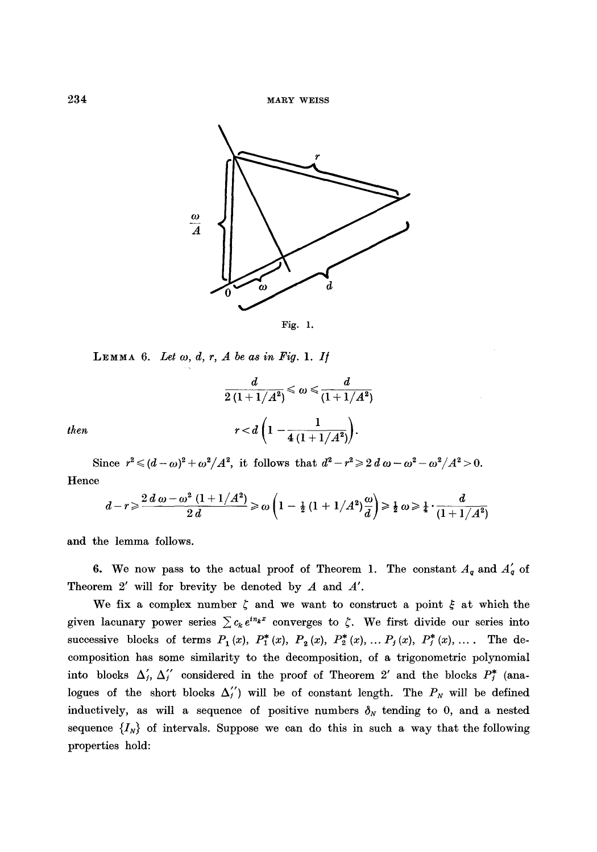

LEMMA 6. Let  $\omega$ ,  $d$ ,  $r$ ,  $A$  be as in Fig. 1. If

$$
\frac{d}{2(1+1/A^2)} \leqslant \omega \leqslant \frac{d}{(1+1/A^2)}
$$
\n
$$
r < d\left(1 - \frac{1}{4(1+1/A^2)}\right).
$$

*then* 

Since  $r^2 \leq (d - \omega)^2 + \omega^2 / A^2$ , it follows that  $d^2 - r^2 \geq 2 d \omega - \omega^2 - \omega^2 / A^2 > 0$ . Hence

$$
d-r\geqslant \frac{2\,d\,\omega -\omega^2\,\left(1+1/A^2\right)}{2\,d}\geqslant \omega\left(1-\tfrac{1}{2}\,(1+1/A^2)\frac{\omega}{d}\right)\geqslant \tfrac{1}{2}\,\omega\geqslant \tfrac{1}{4}\cdot \frac{d}{(1+1/A^2)}
$$

and the lemma follows.

6. We now pass to the actual proof of Theorem 1. The constant  $A_q$  and  $A'_q$  of Theorem 2' will for brevity be denoted by A and *A'.* 

We fix a complex number  $\zeta$  and we want to construct a point  $\xi$  at which the given lacunary power series  $\sum c_k e^{in_k x}$  converges to  $\zeta$ . We first divide our series into successive blocks of terms  $P_1(x)$ ,  $P_1^*(x)$ ,  $P_2(x)$ ,  $P_2^*(x)$ , ...  $P_j(x)$ ,  $P_j^*(x)$ , .... The decomposition has some similarity to the decomposition, of a trigonometric polynomial into blocks  $\Delta'_{j}$ ,  $\Delta''_{j}$  considered in the proof of Theorem 2' and the blocks  $P_{j}^{*}$  (analogues of the short blocks  $\Delta_{j}^{'}$  will be of constant length. The  $P_N$  will be defined inductively, as will a sequence of positive numbers  $\delta_N$  tending to 0, and a nested sequence  $\{I_N\}$  of intervals. Suppose we can do this in such a way that the following properties hold: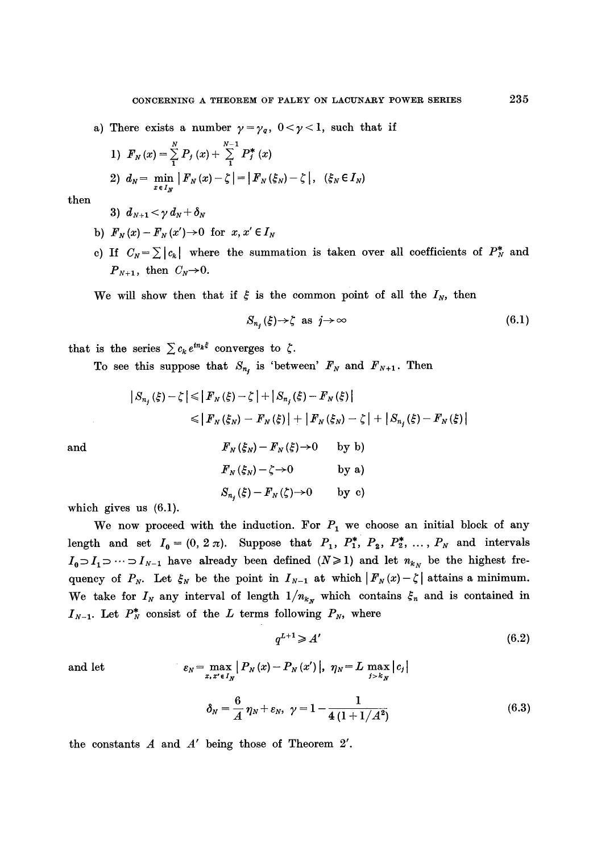a) There exists a number  $\gamma = \gamma_q$ ,  $0 < \gamma < 1$ , such that if

1) 
$$
F_N(x) = \sum_{1}^{N} P_j(x) + \sum_{1}^{N-1} P_j^*(x)
$$
  
\n2)  $d_N = \min_{x \in I_N} |F_N(x) - \zeta| = |F_N(\xi_N) - \zeta|, \quad (\xi_N \in I_N)$ 

then

3)  $d_{N+1} < \gamma d_N + \delta_N$ 

- b)  $F_N(x) F_N(x') \rightarrow 0$  for  $x, x' \in I_N$
- c) If  $C_N = \sum |c_k|$  where the summation is taken over all coefficients of  $P_N^*$  and  $P_{N+1}$ , then  $C_N\rightarrow 0$ .

We will show then that if  $\xi$  is the common point of all the  $I_N$ , then

$$
S_{n_i}(\xi) \to \zeta \text{ as } j \to \infty \tag{6.1}
$$

that is the series  $\sum c_k e^{in_k \xi}$  converges to  $\zeta$ .

To see this suppose that  $S_{n_j}$  is 'between'  $F_N$  and  $F_{N+1}$ . Then

$$
|S_{n_j}(\xi) - \zeta| \leq |F_N(\xi) - \zeta| + |S_{n_j}(\xi) - F_N(\xi)|
$$
  
\n
$$
\leq |F_N(\xi_N) - F_N(\xi)| + |F_N(\xi_N) - \zeta| + |S_{n_j}(\xi) - F_N(\xi)|
$$
  
\nand  
\n
$$
F_N(\xi_N) - F_N(\xi) \to 0 \qquad \text{by by}
$$
  
\n
$$
F_N(\xi_N) - \zeta \to 0 \qquad \text{by a}
$$
  
\n
$$
S_{n_j}(\xi) - F_N(\xi) \to 0 \qquad \text{by c}
$$

which gives us (6.1).

We now proceed with the induction. For  $P_1$  we choose an initial block of any length and set  $I_0 = (0, 2\pi)$ . Suppose that  $P_1$ ,  $P_1^*$ ,  $P_2$ ,  $P_2^*$ , ...,  $P_N$  and intervals  $I_0 \supset I_1 \supset \cdots \supset I_{N-1}$  have already been defined  $(N \ge 1)$  and let  $n_{k_N}$  be the highest frequency of  $P_N$ . Let  $\xi_N$  be the point in  $I_{N-1}$  at which  $|F_N(x)-\zeta|$  attains a minimum. We take for  $I_N$  any interval of length  $1/n_{k_N}$  which contains  $\xi_n$  and is contained in  $I_{N-1}$ . Let  $P_N^*$  consist of the L terms following  $P_N$ , where

$$
q^{L+1} \geqslant A'\tag{6.2}
$$

and let 
$$
\varepsilon_N = \max_{x, x' \in I_N} |P_N(x) - P_N(x')|, \ \eta_N = L \max_{j > k_N} |c_j|
$$

$$
\delta_N = \frac{6}{A} \eta_N + \varepsilon_N, \ \gamma = 1 - \frac{1}{4 (1 + 1/A^2)} \tag{6.3}
$$

the constants A and *A'* being those of Theorem 2'.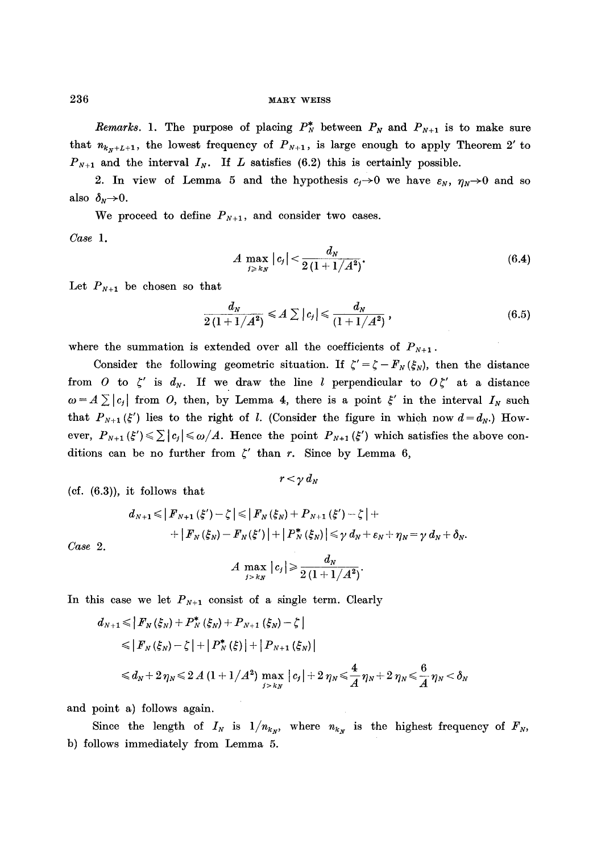*Remarks.* 1. The purpose of placing  $P_N^*$  between  $P_N$  and  $P_{N+1}$  is to make sure that  $n_{k_{x}+L+1}$ , the lowest frequency of  $P_{N+1}$ , is large enough to apply Theorem 2' to  $P_{N+1}$  and the interval  $I_N$ . If L satisfies (6.2) this is certainly possible.

2. In view of Lemma 5 and the hypothesis  $c_j \rightarrow 0$  we have  $\varepsilon_N$ ,  $\eta_N \rightarrow 0$  and so also  $\delta_N \rightarrow 0$ .

We proceed to define  $P_{N+1}$ , and consider two cases.

*Case 1.* 

$$
A \max_{j \ge k_N} |c_j| < \frac{d_N}{2\left(1 + 1/A^2\right)},\tag{6.4}
$$

Let  $P_{N+1}$  be chosen so that

$$
\frac{d_N}{2(1+1/A^2)} \leq A \sum |c_j| \leq \frac{d_N}{(1+1/A^2)}, \qquad (6.5)
$$

where the summation is extended over all the coefficients of  $P_{N+1}$ .

Consider the following geometric situation. If  $\zeta' = \zeta - F_N(\xi_N)$ , then the distance from O to  $\zeta'$  is  $d_N$ . If we draw the line l perpendicular to  $O\zeta'$  at a distance  $\alpha = A \sum |c_j|$  from O, then, by Lemma 4, there is a point  $\xi'$  in the interval  $I_N$  such that  $P_{N+1}(\xi')$  lies to the right of *l*. (Consider the figure in which now  $d = d_N$ .) However,  $P_{N+1}(\xi') \leq \sum |c_j| \leq \omega/A$ . Hence the point  $P_{N+1}(\xi')$  which satisfies the above conditions can be no further from  $\zeta'$  than r. Since by Lemma 6,

 $(cf. (6.3))$ , it follows that

$$
d_{N+1} \leqslant |F_{N+1}(\xi') - \zeta| \leqslant |F_N(\xi_N) + P_{N+1}(\xi') - \zeta| + \\ + |F_N(\xi_N) - F_N(\xi')| + |P_N^*(\xi_N)| \leqslant \gamma d_N + \varepsilon_N + \eta_N = \gamma d_N + \delta_N.
$$
  

$$
A \max_{i \geqslant kN} |c_j| \geqslant \frac{d_N}{2(1 + 1/A^2)}.
$$

 $r < \gamma d_N$ 

*Case 2.* 

In this case we let  $P_{N+1}$  consist of a single term. Clearly

$$
d_{N+1} \leq |F_N(\xi_N) + P_N^*(\xi_N) + P_{N+1}(\xi_N) - \zeta|
$$
  
\n
$$
\leq |F_N(\xi_N) - \zeta| + |P_N^*(\xi)| + |P_{N+1}(\xi_N)|
$$
  
\n
$$
\leq d_N + 2\eta_N \leq 2A(1 + 1/A^2) \max_{j > k_N} |c_j| + 2\eta_N \leq \frac{4}{A}\eta_N + 2\eta_N \leq \frac{6}{A}\eta_N < \delta_N
$$

and point a) follows again.

Since the length of  $I_N$  is  $1/n_{k_N}$ , where  $n_{k_N}$  is the highest frequency of  $F_N$ , b) follows immediately from Lemma 5.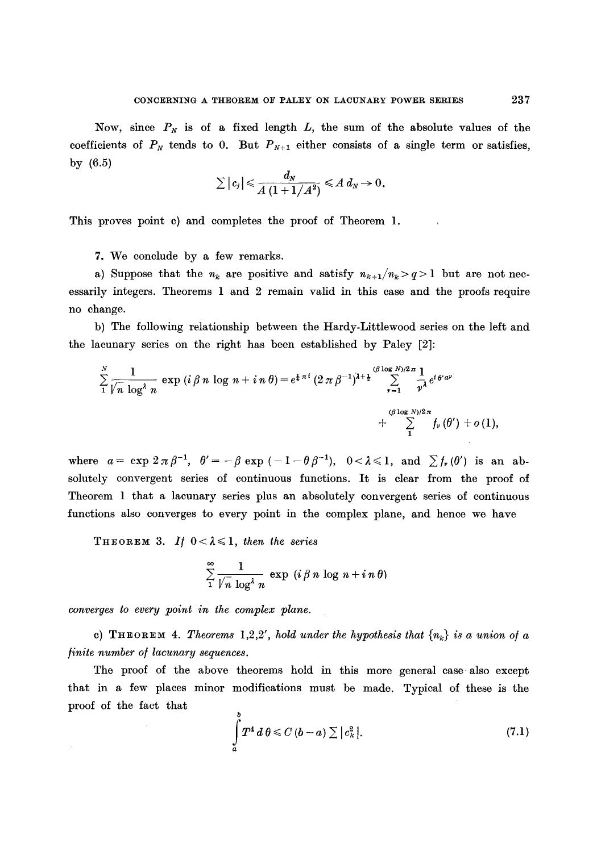Now, since  $P_N$  is of a fixed length  $L$ , the sum of the absolute values of the coefficients of  $P_N$  tends to 0. But  $P_{N+1}$  either consists of a single term or satisfies, by (6.5)

$$
\sum |c_j| \leqslant \frac{d_N}{A(1+1/A^2)} \leqslant A d_N \to 0.
$$

This proves point c) and completes the proof of Theorem 1.

7. We conclude by a few remarks.

a) Suppose that the  $n_k$  are positive and satisfy  $n_{k+1}/n_k > q > 1$  but are not necessarily integers. Theorems 1 and 2 remain valid in this case and the proofs require no change.

b) The following relationship between the Hardy-Littlewood series on the left and the lacunary series on the right has been established by Paley [2]:

$$
\sum_{1}^{N} \frac{1}{\sqrt{n} \log^{2} n} \exp (i \beta n \log n + i n \theta) = e^{\frac{1}{4} \pi i} (2 \pi \beta^{-1})^{\lambda + \frac{1}{2}} \sum_{\nu=1}^{(\beta \log N)/2} \frac{1}{\nu^{\lambda}} e^{i \theta^{2} \alpha^{\nu}} + \sum_{1}^{(\beta \log N)/2 \pi} f_{\nu}(\theta^{\prime}) + o(1),
$$

where  $a=\exp 2\pi\beta^{-1}$ ,  $\theta'=-\beta\exp(-1-\theta\beta^{-1})$ ,  $0<\lambda\leq 1$ , and  $\sum f_{\nu}(\theta')$  is an absolutely convergent series of continuous functions. It is clear from the proof of Theorem 1 that a lacunary series plus an absolutely convergent series of continuous functions also converges to every point in the complex plane, and hence we have

THEOREM 3. If  $0 < \lambda \leq 1$ , then the series

$$
\sum_{1}^{\infty} \frac{1}{\sqrt{n} \log^4 n} \exp(i \beta n \log n + i n \theta)
$$

*converges to every point in the complex plane.* 

c) **THEOREM 4.** *Theorems* 1,2,2', *hold under the hypothesis that*  $\{n_k\}$  *is a union of a finite number of lacunary sequences.* 

The proof of the above theorems hold in this more general case also except that in a few places minor modifications must be made. Typical of these is the proof of the fact that

$$
\int_{a}^{b} T^{4} d\theta \leq C (b-a) \sum |c_{k}^{2}|.
$$
\n(7.1)